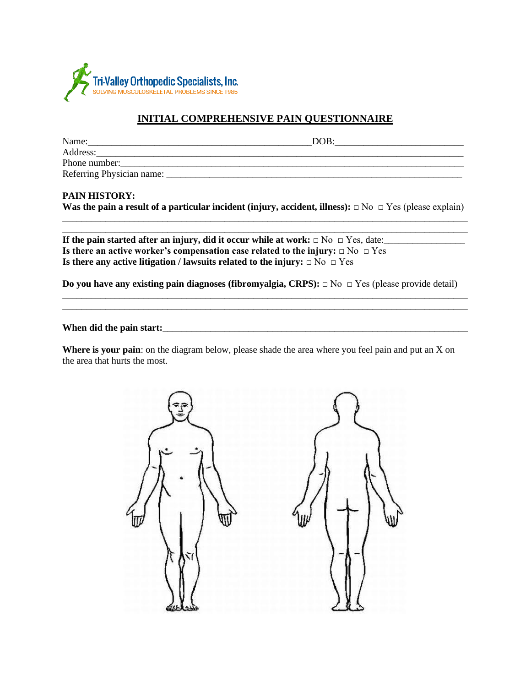

### **INITIAL COMPREHENSIVE PAIN QUESTIONNAIRE**

| Name:                     | DOB |
|---------------------------|-----|
| Address:                  |     |
| Phone number:             |     |
| Referring Physician name: |     |

### **PAIN HISTORY:**

**Was the pain a result of a particular incident (injury, accident, illness):** □ No □ Yes (please explain) \_\_\_\_\_\_\_\_\_\_\_\_\_\_\_\_\_\_\_\_\_\_\_\_\_\_\_\_\_\_\_\_\_\_\_\_\_\_\_\_\_\_\_\_\_\_\_\_\_\_\_\_\_\_\_\_\_\_\_\_\_\_\_\_\_\_\_\_\_\_\_\_\_\_\_\_\_\_\_\_\_\_\_\_\_

\_\_\_\_\_\_\_\_\_\_\_\_\_\_\_\_\_\_\_\_\_\_\_\_\_\_\_\_\_\_\_\_\_\_\_\_\_\_\_\_\_\_\_\_\_\_\_\_\_\_\_\_\_\_\_\_\_\_\_\_\_\_\_\_\_\_\_\_\_\_\_\_\_\_\_\_\_\_\_\_\_\_\_\_\_

**If the pain started after an injury, did it occur while at work:** □ No □ Yes, date:\_\_\_\_\_\_\_\_\_\_\_\_\_\_\_\_\_\_\_\_\_\_\_\_\_\_\_\_\_\_\_\_\_ **Is there an active worker's compensation case related to the injury:** □ No □ Yes **Is there any active litigation / lawsuits related to the injury:** □ No □ Yes

**Do you have any existing pain diagnoses (fibromyalgia, CRPS):** □ No □ Yes (please provide detail) \_\_\_\_\_\_\_\_\_\_\_\_\_\_\_\_\_\_\_\_\_\_\_\_\_\_\_\_\_\_\_\_\_\_\_\_\_\_\_\_\_\_\_\_\_\_\_\_\_\_\_\_\_\_\_\_\_\_\_\_\_\_\_\_\_\_\_\_\_\_\_\_\_\_\_\_\_\_\_\_\_\_\_\_\_

\_\_\_\_\_\_\_\_\_\_\_\_\_\_\_\_\_\_\_\_\_\_\_\_\_\_\_\_\_\_\_\_\_\_\_\_\_\_\_\_\_\_\_\_\_\_\_\_\_\_\_\_\_\_\_\_\_\_\_\_\_\_\_\_\_\_\_\_\_\_\_\_\_\_\_\_\_\_\_\_\_\_\_\_\_

**When did the pain start:**\_\_\_\_\_\_\_\_\_\_\_\_\_\_\_\_\_\_\_\_\_\_\_\_\_\_\_\_\_\_\_\_\_\_\_\_\_\_\_\_\_\_\_\_\_\_\_\_\_\_\_\_\_\_\_\_\_\_\_\_\_\_\_\_

**Where is your pain**: on the diagram below, please shade the area where you feel pain and put an X on the area that hurts the most.

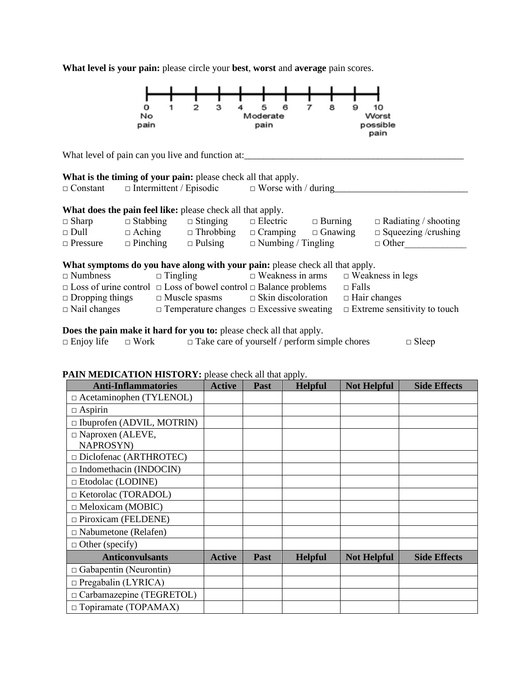**What level is your pain:** please circle your **best**, **worst** and **average** pain scores.



### **PAIN MEDICATION HISTORY:** please check all that apply.

| <b>Anti-Inflammatories</b>                  | <b>Active</b> | <b>Past</b> | <b>Helpful</b> | <b>Not Helpful</b> | <b>Side Effects</b> |
|---------------------------------------------|---------------|-------------|----------------|--------------------|---------------------|
| □ Acetaminophen (TYLENOL)                   |               |             |                |                    |                     |
| $\Box$ Aspirin                              |               |             |                |                    |                     |
| $\Box$ Ibuprofen (ADVIL, MOTRIN)            |               |             |                |                    |                     |
| $\Box$ Naproxen (ALEVE,<br><b>NAPROSYN)</b> |               |             |                |                    |                     |
| $\Box$ Diclofenac (ARTHROTEC)               |               |             |                |                    |                     |
| $\Box$ Indomethacin (INDOCIN)               |               |             |                |                    |                     |
| $\Box$ Etodolac (LODINE)                    |               |             |                |                    |                     |
| $\Box$ Ketorolac (TORADOL)                  |               |             |                |                    |                     |
| $\Box$ Meloxicam (MOBIC)                    |               |             |                |                    |                     |
| $\Box$ Piroxicam (FELDENE)                  |               |             |                |                    |                     |
| $\Box$ Nabumetone (Relafen)                 |               |             |                |                    |                     |
| $\Box$ Other (specify)                      |               |             |                |                    |                     |
| <b>Anticonvulsants</b>                      | <b>Active</b> | Past        | <b>Helpful</b> | <b>Not Helpful</b> | <b>Side Effects</b> |
| $\Box$ Gabapentin (Neurontin)               |               |             |                |                    |                     |
| $\Box$ Pregabalin (LYRICA)                  |               |             |                |                    |                     |
| $\Box$ Carbamazepine (TEGRETOL)             |               |             |                |                    |                     |
| $\Box$ Topiramate (TOPAMAX)                 |               |             |                |                    |                     |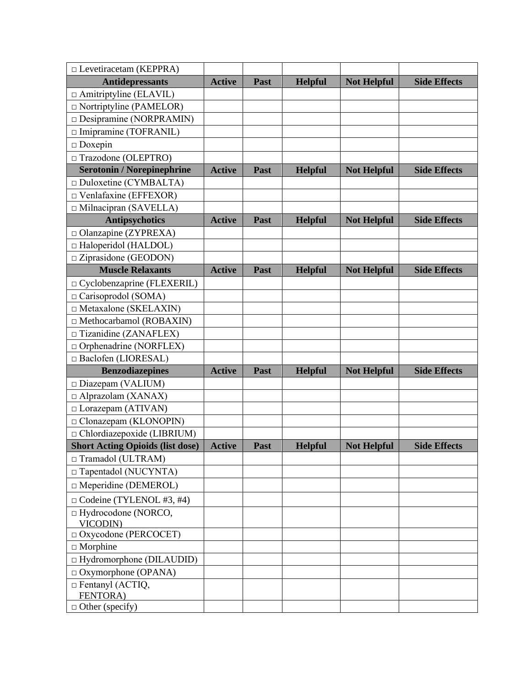| $\Box$ Levetiracetam (KEPPRA)                                                                                                                                                                                                                                                                                                                                                                      |               |             |                |                    |                     |
|----------------------------------------------------------------------------------------------------------------------------------------------------------------------------------------------------------------------------------------------------------------------------------------------------------------------------------------------------------------------------------------------------|---------------|-------------|----------------|--------------------|---------------------|
| <b>Antidepressants</b>                                                                                                                                                                                                                                                                                                                                                                             | <b>Active</b> | <b>Past</b> | <b>Helpful</b> | <b>Not Helpful</b> | <b>Side Effects</b> |
| $\Box$ Amitriptyline (ELAVIL)                                                                                                                                                                                                                                                                                                                                                                      |               |             |                |                    |                     |
| $\Box$ Nortriptyline (PAMELOR)                                                                                                                                                                                                                                                                                                                                                                     |               |             |                |                    |                     |
| Desipramine (NORPRAMIN)                                                                                                                                                                                                                                                                                                                                                                            |               |             |                |                    |                     |
| □ Imipramine (TOFRANIL)                                                                                                                                                                                                                                                                                                                                                                            |               |             |                |                    |                     |
| $\hfill\Box$<br>Doxepin                                                                                                                                                                                                                                                                                                                                                                            |               |             |                |                    |                     |
| □ Trazodone (OLEPTRO)                                                                                                                                                                                                                                                                                                                                                                              |               |             |                |                    |                     |
| <b>Serotonin / Norepinephrine</b>                                                                                                                                                                                                                                                                                                                                                                  | <b>Active</b> | Past        | <b>Helpful</b> | <b>Not Helpful</b> | <b>Side Effects</b> |
| $\Box$ Duloxetine (CYMBALTA)                                                                                                                                                                                                                                                                                                                                                                       |               |             |                |                    |                     |
| $\Box$ Venlafaxine (EFFEXOR)                                                                                                                                                                                                                                                                                                                                                                       |               |             |                |                    |                     |
| □ Milnacipran (SAVELLA)                                                                                                                                                                                                                                                                                                                                                                            |               |             |                |                    |                     |
| <b>Antipsychotics</b>                                                                                                                                                                                                                                                                                                                                                                              | <b>Active</b> | Past        | <b>Helpful</b> | <b>Not Helpful</b> | <b>Side Effects</b> |
| $\Box$ Olanzapine (ZYPREXA)                                                                                                                                                                                                                                                                                                                                                                        |               |             |                |                    |                     |
| $\Box$ Haloperidol (HALDOL)                                                                                                                                                                                                                                                                                                                                                                        |               |             |                |                    |                     |
| $\Box$ Ziprasidone (GEODON)                                                                                                                                                                                                                                                                                                                                                                        |               |             |                |                    |                     |
| <b>Muscle Relaxants</b>                                                                                                                                                                                                                                                                                                                                                                            | <b>Active</b> | Past        | <b>Helpful</b> | <b>Not Helpful</b> | <b>Side Effects</b> |
| □ Cyclobenzaprine (FLEXERIL)                                                                                                                                                                                                                                                                                                                                                                       |               |             |                |                    |                     |
| □ Carisoprodol (SOMA)                                                                                                                                                                                                                                                                                                                                                                              |               |             |                |                    |                     |
| $\Box$ Metaxalone (SKELAXIN)                                                                                                                                                                                                                                                                                                                                                                       |               |             |                |                    |                     |
| $\Box$ Methocarbamol (ROBAXIN)                                                                                                                                                                                                                                                                                                                                                                     |               |             |                |                    |                     |
| $\Box$ Tizanidine (ZANAFLEX)                                                                                                                                                                                                                                                                                                                                                                       |               |             |                |                    |                     |
| $\Box$ Orphenadrine (NORFLEX)                                                                                                                                                                                                                                                                                                                                                                      |               |             |                |                    |                     |
|                                                                                                                                                                                                                                                                                                                                                                                                    |               |             |                |                    |                     |
|                                                                                                                                                                                                                                                                                                                                                                                                    | <b>Active</b> | Past        | <b>Helpful</b> | <b>Not Helpful</b> | <b>Side Effects</b> |
|                                                                                                                                                                                                                                                                                                                                                                                                    |               |             |                |                    |                     |
|                                                                                                                                                                                                                                                                                                                                                                                                    |               |             |                |                    |                     |
|                                                                                                                                                                                                                                                                                                                                                                                                    |               |             |                |                    |                     |
|                                                                                                                                                                                                                                                                                                                                                                                                    |               |             |                |                    |                     |
|                                                                                                                                                                                                                                                                                                                                                                                                    |               |             |                |                    |                     |
|                                                                                                                                                                                                                                                                                                                                                                                                    |               | <b>Past</b> |                |                    |                     |
|                                                                                                                                                                                                                                                                                                                                                                                                    |               |             |                |                    |                     |
|                                                                                                                                                                                                                                                                                                                                                                                                    |               |             |                |                    |                     |
|                                                                                                                                                                                                                                                                                                                                                                                                    |               |             |                |                    |                     |
| $\Box$ Codeine (TYLENOL #3, #4)                                                                                                                                                                                                                                                                                                                                                                    |               |             |                |                    |                     |
| VICODIN)                                                                                                                                                                                                                                                                                                                                                                                           |               |             |                |                    |                     |
| □ Oxycodone (PERCOCET)                                                                                                                                                                                                                                                                                                                                                                             |               |             |                |                    |                     |
| $\Box$ Morphine                                                                                                                                                                                                                                                                                                                                                                                    |               |             |                |                    |                     |
| $\Box$ Hydromorphone (DILAUDID)                                                                                                                                                                                                                                                                                                                                                                    |               |             |                |                    |                     |
| $\Box$ Oxymorphone (OPANA)                                                                                                                                                                                                                                                                                                                                                                         |               |             |                |                    |                     |
| $\Box$ Fentanyl (ACTIQ,                                                                                                                                                                                                                                                                                                                                                                            |               |             |                |                    |                     |
|                                                                                                                                                                                                                                                                                                                                                                                                    |               |             |                |                    |                     |
| □ Baclofen (LIORESAL)<br><b>Benzodiazepines</b><br>$\square$ Diazepam (VALIUM)<br>$\Box$ Alprazolam (XANAX)<br>$\Box$ Lorazepam (ATIVAN)<br>$\Box$ Clonazepam (KLONOPIN)<br>□ Chlordiazepoxide (LIBRIUM)<br><b>Short Acting Opioids (list dose)</b><br>□ Tramadol (ULTRAM)<br>$\Box$ Tapentadol (NUCYNTA)<br>□ Meperidine (DEMEROL)<br>□ Hydrocodone (NORCO,<br>FENTORA)<br>$\Box$ Other (specify) | <b>Active</b> |             | <b>Helpful</b> | <b>Not Helpful</b> | <b>Side Effects</b> |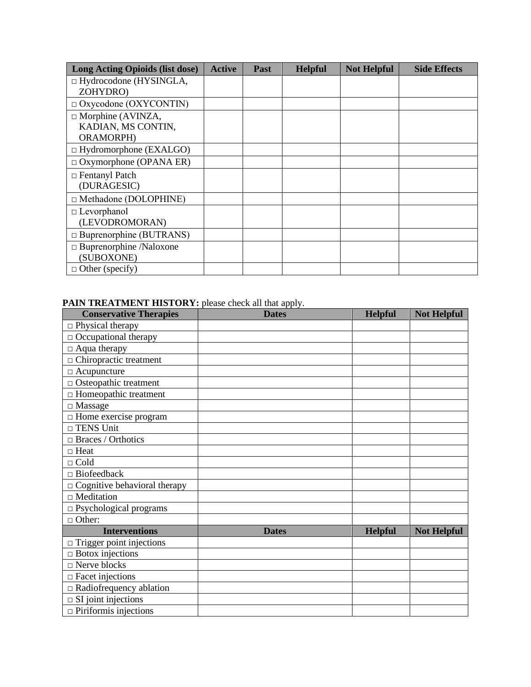| Long Acting Opioids (list dose)           | <b>Active</b> | <b>Past</b> | <b>Helpful</b> | <b>Not Helpful</b> | <b>Side Effects</b> |
|-------------------------------------------|---------------|-------------|----------------|--------------------|---------------------|
| $\Box$ Hydrocodone (HYSINGLA,<br>ZOHYDRO) |               |             |                |                    |                     |
|                                           |               |             |                |                    |                     |
| $\Box$ Oxycodone (OXYCONTIN)              |               |             |                |                    |                     |
| $\Box$ Morphine (AVINZA,                  |               |             |                |                    |                     |
| KADIAN, MS CONTIN,                        |               |             |                |                    |                     |
| ORAMORPH)                                 |               |             |                |                    |                     |
| $\Box$ Hydromorphone (EXALGO)             |               |             |                |                    |                     |
| $\Box$ Oxymorphone (OPANA ER)             |               |             |                |                    |                     |
| $\Box$ Fentanyl Patch                     |               |             |                |                    |                     |
| (DURAGESIC)                               |               |             |                |                    |                     |
| $\Box$ Methadone (DOLOPHINE)              |               |             |                |                    |                     |
| $\Box$ Levorphanol                        |               |             |                |                    |                     |
| (LEVODROMORAN)                            |               |             |                |                    |                     |
| $\Box$ Buprenorphine (BUTRANS)            |               |             |                |                    |                     |
| $\Box$ Buprenorphine /Naloxone            |               |             |                |                    |                     |
| (SUBOXONE)                                |               |             |                |                    |                     |
| $\Box$ Other (specify)                    |               |             |                |                    |                     |

## **PAIN TREATMENT HISTORY:** please check all that apply.

| <b>Conservative Therapies</b>       | <b>Dates</b> | <b>Helpful</b> | <b>Not Helpful</b> |
|-------------------------------------|--------------|----------------|--------------------|
| $\Box$ Physical therapy             |              |                |                    |
| $\Box$ Occupational therapy         |              |                |                    |
| $\Box$ Aqua therapy                 |              |                |                    |
| $\Box$ Chiropractic treatment       |              |                |                    |
| $\Box$ Acupuncture                  |              |                |                    |
| $\Box$ Osteopathic treatment        |              |                |                    |
| $\Box$ Homeopathic treatment        |              |                |                    |
| $\Box$ Massage                      |              |                |                    |
| □ Home exercise program             |              |                |                    |
| $\Box$ TENS Unit                    |              |                |                    |
| $\Box$ Braces / Orthotics           |              |                |                    |
| $\Box$ Heat                         |              |                |                    |
| $\Box$ Cold                         |              |                |                    |
| $\Box$ Biofeedback                  |              |                |                    |
| $\Box$ Cognitive behavioral therapy |              |                |                    |
| $\Box$ Meditation                   |              |                |                    |
| □ Psychological programs            |              |                |                    |
| $\Box$ Other:                       |              |                |                    |
| <b>Interventions</b>                | <b>Dates</b> | <b>Helpful</b> | <b>Not Helpful</b> |
| $\Box$ Trigger point injections     |              |                |                    |
| $\Box$ Botox injections             |              |                |                    |
| $\Box$ Nerve blocks                 |              |                |                    |
| $\Box$ Facet injections             |              |                |                    |
| $\Box$ Radiofrequency ablation      |              |                |                    |
| $\Box$ SI joint injections          |              |                |                    |
| $\Box$ Piriformis injections        |              |                |                    |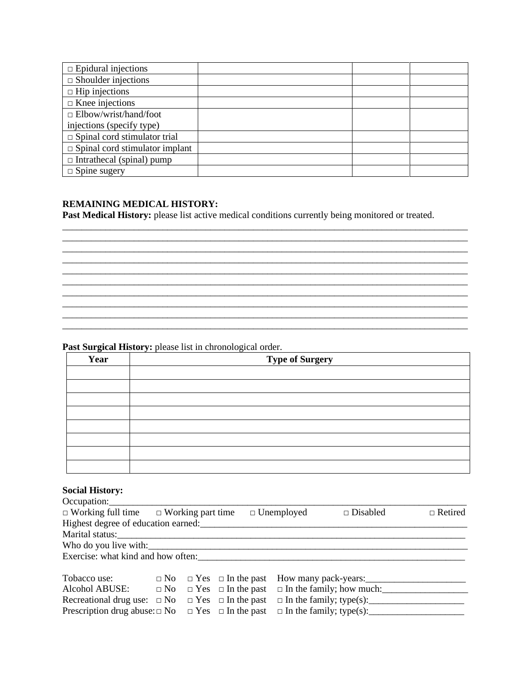| $\Box$ Epidural injections            |  |  |
|---------------------------------------|--|--|
| $\Box$ Shoulder injections            |  |  |
| $\Box$ Hip injections                 |  |  |
| $\Box$ Knee injections                |  |  |
| $\Box$ Elbow/wrist/hand/foot          |  |  |
| injections (specify type)             |  |  |
| $\Box$ Spinal cord stimulator trial   |  |  |
| $\Box$ Spinal cord stimulator implant |  |  |
| $\Box$ Intrathecal (spinal) pump      |  |  |
| $\Box$ Spine sugery                   |  |  |

### **REMAINING MEDICAL HISTORY:**

**Past Medical History:** please list active medical conditions currently being monitored or treated.

\_\_\_\_\_\_\_\_\_\_\_\_\_\_\_\_\_\_\_\_\_\_\_\_\_\_\_\_\_\_\_\_\_\_\_\_\_\_\_\_\_\_\_\_\_\_\_\_\_\_\_\_\_\_\_\_\_\_\_\_\_\_\_\_\_\_\_\_\_\_\_\_\_\_\_\_\_\_\_\_\_\_\_\_\_

\_\_\_\_\_\_\_\_\_\_\_\_\_\_\_\_\_\_\_\_\_\_\_\_\_\_\_\_\_\_\_\_\_\_\_\_\_\_\_\_\_\_\_\_\_\_\_\_\_\_\_\_\_\_\_\_\_\_\_\_\_\_\_\_\_\_\_\_\_\_\_\_\_\_\_\_\_\_\_\_\_\_\_\_\_

\_\_\_\_\_\_\_\_\_\_\_\_\_\_\_\_\_\_\_\_\_\_\_\_\_\_\_\_\_\_\_\_\_\_\_\_\_\_\_\_\_\_\_\_\_\_\_\_\_\_\_\_\_\_\_\_\_\_\_\_\_\_\_\_\_\_\_\_\_\_\_\_\_\_\_\_\_\_\_\_\_\_\_\_\_

\_\_\_\_\_\_\_\_\_\_\_\_\_\_\_\_\_\_\_\_\_\_\_\_\_\_\_\_\_\_\_\_\_\_\_\_\_\_\_\_\_\_\_\_\_\_\_\_\_\_\_\_\_\_\_\_\_\_\_\_\_\_\_\_\_\_\_\_\_\_\_\_\_\_\_\_\_\_\_\_\_\_\_\_\_

### **Past Surgical History:** please list in chronological order.

| Year | <b>Type of Surgery</b> |
|------|------------------------|
|      |                        |
|      |                        |
|      |                        |
|      |                        |
|      |                        |
|      |                        |
|      |                        |
|      |                        |

### **Social History:**

| Occupation:                                                      |  |                                         |                   |                                        |                |
|------------------------------------------------------------------|--|-----------------------------------------|-------------------|----------------------------------------|----------------|
| $\Box$ Working full time $\Box$ Working part time                |  |                                         | $\Box$ Unemployed | $\Box$ Disabled                        | $\Box$ Retired |
| Highest degree of education earned:                              |  |                                         |                   |                                        |                |
| Marital status:                                                  |  |                                         |                   |                                        |                |
| Who do you live with:                                            |  |                                         |                   |                                        |                |
| Exercise: what kind and how often:                               |  |                                         |                   |                                        |                |
| Tobacco use:                                                     |  | $\Box$ No $\Box$ Yes $\Box$ In the past |                   | How many pack-years:                   |                |
| Alcohol ABUSE:                                                   |  | $\Box$ No $\Box$ Yes $\Box$ In the past |                   | $\Box$ In the family; how much: $\Box$ |                |
| Recreational drug use: $\Box$ No $\Box$ Yes $\Box$ In the past   |  |                                         |                   |                                        |                |
| Prescription drug abuse: $\Box$ No $\Box$ Yes $\Box$ In the past |  |                                         |                   |                                        |                |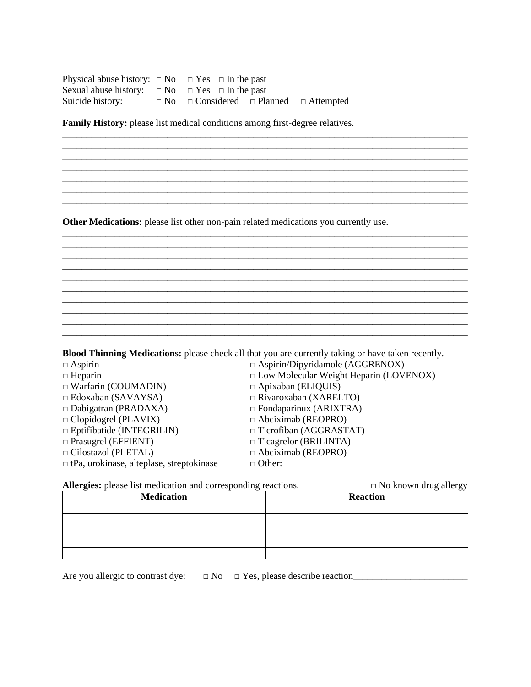| Physical abuse history: $\Box$ No $\Box$ Yes $\Box$ In the past                          |  |  |  |
|------------------------------------------------------------------------------------------|--|--|--|
| Sexual abuse history: $\Box$ No $\Box$ Yes $\Box$ In the past                            |  |  |  |
| Suicide history: $\square$ No $\square$ Considered $\square$ Planned $\square$ Attempted |  |  |  |

**Family History:** please list medical conditions among first-degree relatives.

**Other Medications:** please list other non-pain related medications you currently use.

**Blood Thinning Medications:** please check all that you are currently taking or have taken recently.

\_\_\_\_\_\_\_\_\_\_\_\_\_\_\_\_\_\_\_\_\_\_\_\_\_\_\_\_\_\_\_\_\_\_\_\_\_\_\_\_\_\_\_\_\_\_\_\_\_\_\_\_\_\_\_\_\_\_\_\_\_\_\_\_\_\_\_\_\_\_\_\_\_\_\_\_\_\_\_\_\_\_\_\_\_

\_\_\_\_\_\_\_\_\_\_\_\_\_\_\_\_\_\_\_\_\_\_\_\_\_\_\_\_\_\_\_\_\_\_\_\_\_\_\_\_\_\_\_\_\_\_\_\_\_\_\_\_\_\_\_\_\_\_\_\_\_\_\_\_\_\_\_\_\_\_\_\_\_\_\_\_\_\_\_\_\_\_\_\_\_

\_\_\_\_\_\_\_\_\_\_\_\_\_\_\_\_\_\_\_\_\_\_\_\_\_\_\_\_\_\_\_\_\_\_\_\_\_\_\_\_\_\_\_\_\_\_\_\_\_\_\_\_\_\_\_\_\_\_\_\_\_\_\_\_\_\_\_\_\_\_\_\_\_\_\_\_\_\_\_\_\_\_\_\_\_ \_\_\_\_\_\_\_\_\_\_\_\_\_\_\_\_\_\_\_\_\_\_\_\_\_\_\_\_\_\_\_\_\_\_\_\_\_\_\_\_\_\_\_\_\_\_\_\_\_\_\_\_\_\_\_\_\_\_\_\_\_\_\_\_\_\_\_\_\_\_\_\_\_\_\_\_\_\_\_\_\_\_\_\_\_

\_\_\_\_\_\_\_\_\_\_\_\_\_\_\_\_\_\_\_\_\_\_\_\_\_\_\_\_\_\_\_\_\_\_\_\_\_\_\_\_\_\_\_\_\_\_\_\_\_\_\_\_\_\_\_\_\_\_\_\_\_\_\_\_\_\_\_\_\_\_\_\_\_\_\_\_\_\_\_\_\_\_\_\_\_ \_\_\_\_\_\_\_\_\_\_\_\_\_\_\_\_\_\_\_\_\_\_\_\_\_\_\_\_\_\_\_\_\_\_\_\_\_\_\_\_\_\_\_\_\_\_\_\_\_\_\_\_\_\_\_\_\_\_\_\_\_\_\_\_\_\_\_\_\_\_\_\_\_\_\_\_\_\_\_\_\_\_\_\_\_

\_\_\_\_\_\_\_\_\_\_\_\_\_\_\_\_\_\_\_\_\_\_\_\_\_\_\_\_\_\_\_\_\_\_\_\_\_\_\_\_\_\_\_\_\_\_\_\_\_\_\_\_\_\_\_\_\_\_\_\_\_\_\_\_\_\_\_\_\_\_\_\_\_\_\_\_\_\_\_\_\_\_\_\_\_ \_\_\_\_\_\_\_\_\_\_\_\_\_\_\_\_\_\_\_\_\_\_\_\_\_\_\_\_\_\_\_\_\_\_\_\_\_\_\_\_\_\_\_\_\_\_\_\_\_\_\_\_\_\_\_\_\_\_\_\_\_\_\_\_\_\_\_\_\_\_\_\_\_\_\_\_\_\_\_\_\_\_\_\_\_

\_\_\_\_\_\_\_\_\_\_\_\_\_\_\_\_\_\_\_\_\_\_\_\_\_\_\_\_\_\_\_\_\_\_\_\_\_\_\_\_\_\_\_\_\_\_\_\_\_\_\_\_\_\_\_\_\_\_\_\_\_\_\_\_\_\_\_\_\_\_\_\_\_\_\_\_\_\_\_\_\_\_\_\_\_ \_\_\_\_\_\_\_\_\_\_\_\_\_\_\_\_\_\_\_\_\_\_\_\_\_\_\_\_\_\_\_\_\_\_\_\_\_\_\_\_\_\_\_\_\_\_\_\_\_\_\_\_\_\_\_\_\_\_\_\_\_\_\_\_\_\_\_\_\_\_\_\_\_\_\_\_\_\_\_\_\_\_\_\_\_

 $\_$  ,  $\_$  ,  $\_$  ,  $\_$  ,  $\_$  ,  $\_$  ,  $\_$  ,  $\_$  ,  $\_$  ,  $\_$  ,  $\_$  ,  $\_$  ,  $\_$  ,  $\_$  ,  $\_$  ,  $\_$  ,  $\_$  ,  $\_$  ,  $\_$  ,  $\_$ 

\_\_\_\_\_\_\_\_\_\_\_\_\_\_\_\_\_\_\_\_\_\_\_\_\_\_\_\_\_\_\_\_\_\_\_\_\_\_\_\_\_\_\_\_\_\_\_\_\_\_\_\_\_\_\_\_\_\_\_\_\_\_\_\_\_\_\_\_\_\_\_\_\_\_\_\_\_\_\_\_\_\_\_\_\_  $\_$  ,  $\_$  ,  $\_$  ,  $\_$  ,  $\_$  ,  $\_$  ,  $\_$  ,  $\_$  ,  $\_$  ,  $\_$  ,  $\_$  ,  $\_$  ,  $\_$  ,  $\_$  ,  $\_$  ,  $\_$  ,  $\_$  ,  $\_$  ,  $\_$  ,  $\_$  ,  $\_$  ,  $\_$  ,  $\_$  ,  $\_$  ,  $\_$  ,  $\_$  ,  $\_$  ,  $\_$  ,  $\_$  ,  $\_$  ,  $\_$  ,  $\_$  ,  $\_$  ,  $\_$  ,  $\_$  ,  $\_$  ,  $\_$  ,

| $\Box$ Aspirin/Dipyridamole (AGGRENOX)        |
|-----------------------------------------------|
| $\Box$ Low Molecular Weight Heparin (LOVENOX) |
| $\Box$ Apixaban (ELIQUIS)                     |
| $\Box$ Rivaroxaban (XARELTO)                  |
| $\Box$ Fondaparinux (ARIXTRA)                 |
| $\Box$ Abciximab (REOPRO)                     |
| $\Box$ Ticrofiban (AGGRASTAT)                 |
| $\Box$ Ticagrelor (BRILINTA)                  |
| $\Box$ Abciximab (REOPRO)                     |
| $\Box$ Other:                                 |
|                                               |

| <b>Allergies:</b> please list medication and corresponding reactions.<br>$\Box$ No known drug allergy |
|-------------------------------------------------------------------------------------------------------|
| <b>Reaction</b>                                                                                       |
|                                                                                                       |
|                                                                                                       |
|                                                                                                       |
|                                                                                                       |
|                                                                                                       |
|                                                                                                       |

Are you allergic to contrast dye: □ No □ Yes, please describe reaction\_\_\_\_\_\_\_\_\_\_\_\_\_\_\_\_\_\_\_\_\_\_\_\_